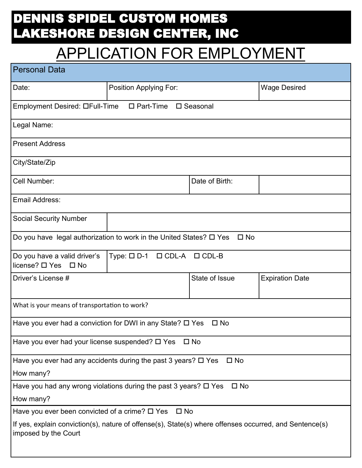## DENNIS SPIDEL CUSTOM HOMES LAKESHORE DESIGN CENTER, INC

## APPLICATION FOR EMPLOYMENT

| <b>Personal Data</b>                                                                                                           |                        |                |                        |
|--------------------------------------------------------------------------------------------------------------------------------|------------------------|----------------|------------------------|
| Date:                                                                                                                          | Position Applying For: |                | <b>Wage Desired</b>    |
| Employment Desired: OFull-Time                                                                                                 | $\Box$ Part-Time       | □ Seasonal     |                        |
| Legal Name:                                                                                                                    |                        |                |                        |
| <b>Present Address</b>                                                                                                         |                        |                |                        |
| City/State/Zip                                                                                                                 |                        |                |                        |
| Cell Number:                                                                                                                   |                        | Date of Birth: |                        |
| Email Address:                                                                                                                 |                        |                |                        |
| <b>Social Security Number</b>                                                                                                  |                        |                |                        |
| Do you have legal authorization to work in the United States? $\square$ Yes                                                    |                        | $\square$ No   |                        |
| Do you have a valid driver's<br>$Type: \Box D-1 \Box CDL-A$<br>$\Box$ CDL-B<br>license? □ Yes □ No                             |                        |                |                        |
| Driver's License #                                                                                                             |                        | State of Issue | <b>Expiration Date</b> |
| What is your means of transportation to work?                                                                                  |                        |                |                        |
| Have you ever had a conviction for DWI in any State? $\square$ Yes                                                             |                        | $\square$ No   |                        |
| Have you ever had your license suspended? □ Yes<br>$\square$ No                                                                |                        |                |                        |
| Have you ever had any accidents during the past 3 years? □ Yes<br>$\square$ No                                                 |                        |                |                        |
| How many?                                                                                                                      |                        |                |                        |
| Have you had any wrong violations during the past 3 years? □ Yes<br>$\square$ No                                               |                        |                |                        |
| How many?                                                                                                                      |                        |                |                        |
| Have you ever been convicted of a crime? $\square$ Yes<br>$\square$ No                                                         |                        |                |                        |
| If yes, explain conviction(s), nature of offense(s), State(s) where offenses occurred, and Sentence(s)<br>imposed by the Court |                        |                |                        |
|                                                                                                                                |                        |                |                        |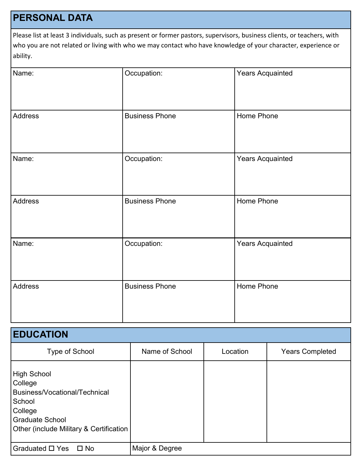## **PERSONAL DATA**

Please list at least 3 individuals, such as present or former pastors, supervisors, business clients, or teachers, with who you are not related or living with who we may contact who have knowledge of your character, experience or ability.

| Name:   | Occupation:           | <b>Years Acquainted</b> |
|---------|-----------------------|-------------------------|
| Address | <b>Business Phone</b> | Home Phone              |
| Name:   | Occupation:           | <b>Years Acquainted</b> |
| Address | <b>Business Phone</b> | Home Phone              |
| Name:   | Occupation:           | <b>Years Acquainted</b> |
| Address | <b>Business Phone</b> | Home Phone              |

| <b>EDUCATION</b>                                                                                                                                                    |                |          |                        |
|---------------------------------------------------------------------------------------------------------------------------------------------------------------------|----------------|----------|------------------------|
| Type of School                                                                                                                                                      | Name of School | Location | <b>Years Completed</b> |
| <b>High School</b><br>College<br>Business/Vocational/Technical<br>School<br>College<br><b>Graduate School</b><br><b>Other (include Military &amp; Certification</b> |                |          |                        |
| Graduated □ Yes<br>$\square$ No                                                                                                                                     | Major & Degree |          |                        |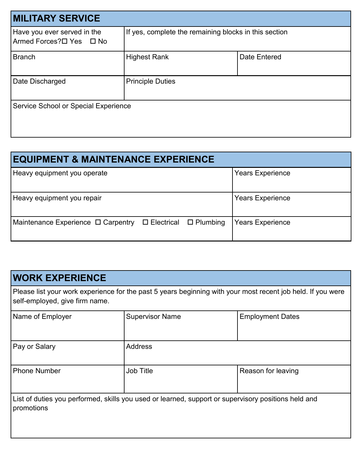| <b>MILITARY SERVICE</b>                                  |                                                       |              |  |
|----------------------------------------------------------|-------------------------------------------------------|--------------|--|
| Have you ever served in the<br>I Armed Forces?ロ Yes ロ No | If yes, complete the remaining blocks in this section |              |  |
| Branch                                                   | <b>Highest Rank</b>                                   | Date Entered |  |
| Date Discharged                                          | <b>Principle Duties</b>                               |              |  |
| Service School or Special Experience                     |                                                       |              |  |

| <b>EQUIPMENT &amp; MAINTENANCE EXPERIENCE</b>                      |                         |  |  |
|--------------------------------------------------------------------|-------------------------|--|--|
| Heavy equipment you operate                                        | <b>Years Experience</b> |  |  |
| Heavy equipment you repair                                         | <b>Years Experience</b> |  |  |
| $\Box$ Plumbing<br>Maintenance Experience □ Carpentry □ Electrical | <b>Years Experience</b> |  |  |

| <b>WORK EXPERIENCE</b>                                                                                                                        |                        |                         |  |
|-----------------------------------------------------------------------------------------------------------------------------------------------|------------------------|-------------------------|--|
| Please list your work experience for the past 5 years beginning with your most recent job held. If you were<br>self-employed, give firm name. |                        |                         |  |
| Name of Employer                                                                                                                              | <b>Supervisor Name</b> | <b>Employment Dates</b> |  |
| Pay or Salary                                                                                                                                 | <b>Address</b>         |                         |  |
| <b>Phone Number</b>                                                                                                                           | <b>Job Title</b>       | Reason for leaving      |  |
| List of duties you performed, skills you used or learned, support or supervisory positions held and<br>promotions                             |                        |                         |  |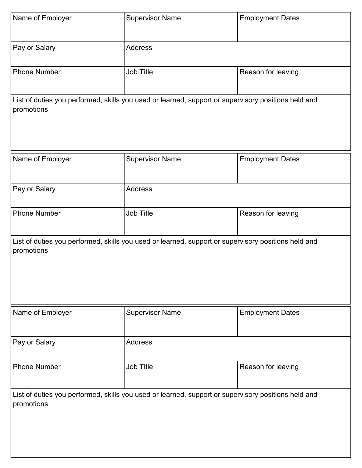| Name of Employer    | <b>Supervisor Name</b>                                                                              | <b>Employment Dates</b> |  |
|---------------------|-----------------------------------------------------------------------------------------------------|-------------------------|--|
| Pay or Salary       | <b>Address</b>                                                                                      |                         |  |
| <b>Phone Number</b> | Job Title                                                                                           | Reason for leaving      |  |
| promotions          | List of duties you performed, skills you used or learned, support or supervisory positions held and |                         |  |
| Name of Employer    | <b>Supervisor Name</b>                                                                              | <b>Employment Dates</b> |  |
| Pay or Salary       | <b>Address</b>                                                                                      |                         |  |
| <b>Phone Number</b> | Job Title                                                                                           | Reason for leaving      |  |
| promotions          | List of duties you performed, skills you used or learned, support or supervisory positions held and |                         |  |
| Name of Employer    | <b>Supervisor Name</b>                                                                              | <b>Employment Dates</b> |  |
| Pay or Salary       | <b>Address</b>                                                                                      |                         |  |
| <b>Phone Number</b> | Job Title                                                                                           | Reason for leaving      |  |
| promotions          | List of duties you performed, skills you used or learned, support or supervisory positions held and |                         |  |